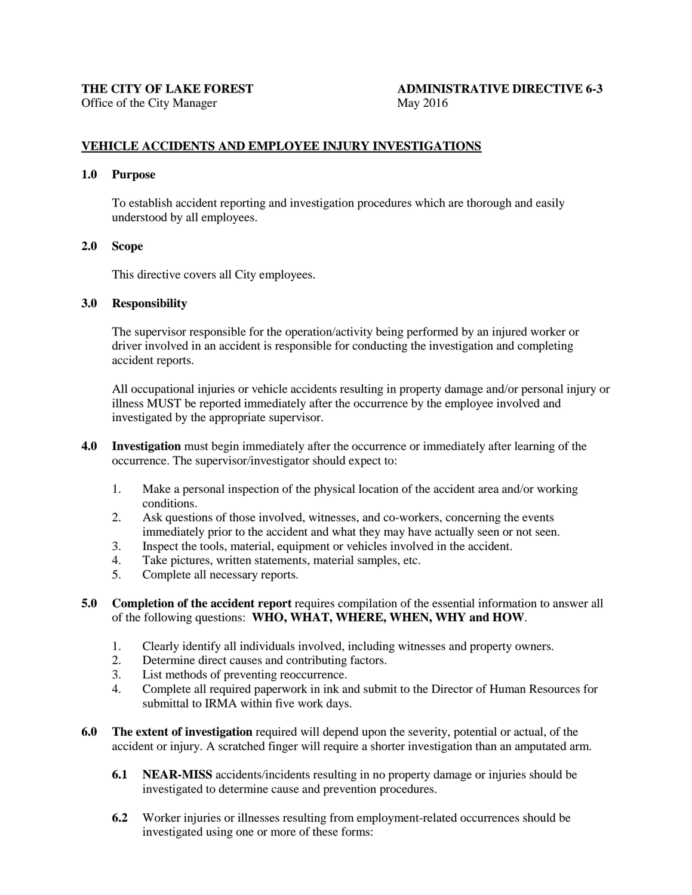# THE CITY OF LAKE FOREST **ADMINISTRATIVE DIRECTIVE 6-3**

# **VEHICLE ACCIDENTS AND EMPLOYEE INJURY INVESTIGATIONS**

#### **1.0 Purpose**

To establish accident reporting and investigation procedures which are thorough and easily understood by all employees.

#### **2.0 Scope**

This directive covers all City employees.

#### **3.0 Responsibility**

The supervisor responsible for the operation/activity being performed by an injured worker or driver involved in an accident is responsible for conducting the investigation and completing accident reports.

All occupational injuries or vehicle accidents resulting in property damage and/or personal injury or illness MUST be reported immediately after the occurrence by the employee involved and investigated by the appropriate supervisor.

- **4.0 Investigation** must begin immediately after the occurrence or immediately after learning of the occurrence. The supervisor/investigator should expect to:
	- 1. Make a personal inspection of the physical location of the accident area and/or working conditions.
	- 2. Ask questions of those involved, witnesses, and co-workers, concerning the events immediately prior to the accident and what they may have actually seen or not seen.
	- 3. Inspect the tools, material, equipment or vehicles involved in the accident.
	- 4. Take pictures, written statements, material samples, etc.
	- 5. Complete all necessary reports.
- **5.0 Completion of the accident report** requires compilation of the essential information to answer all of the following questions: **WHO, WHAT, WHERE, WHEN, WHY and HOW**.
	- 1. Clearly identify all individuals involved, including witnesses and property owners.
	- 2. Determine direct causes and contributing factors.
	- 3. List methods of preventing reoccurrence.
	- 4. Complete all required paperwork in ink and submit to the Director of Human Resources for submittal to IRMA within five work days.
- **6.0 The extent of investigation** required will depend upon the severity, potential or actual, of the accident or injury. A scratched finger will require a shorter investigation than an amputated arm.
	- **6.1 NEAR-MISS** accidents/incidents resulting in no property damage or injuries should be investigated to determine cause and prevention procedures.
	- **6.2** Worker injuries or illnesses resulting from employment-related occurrences should be investigated using one or more of these forms: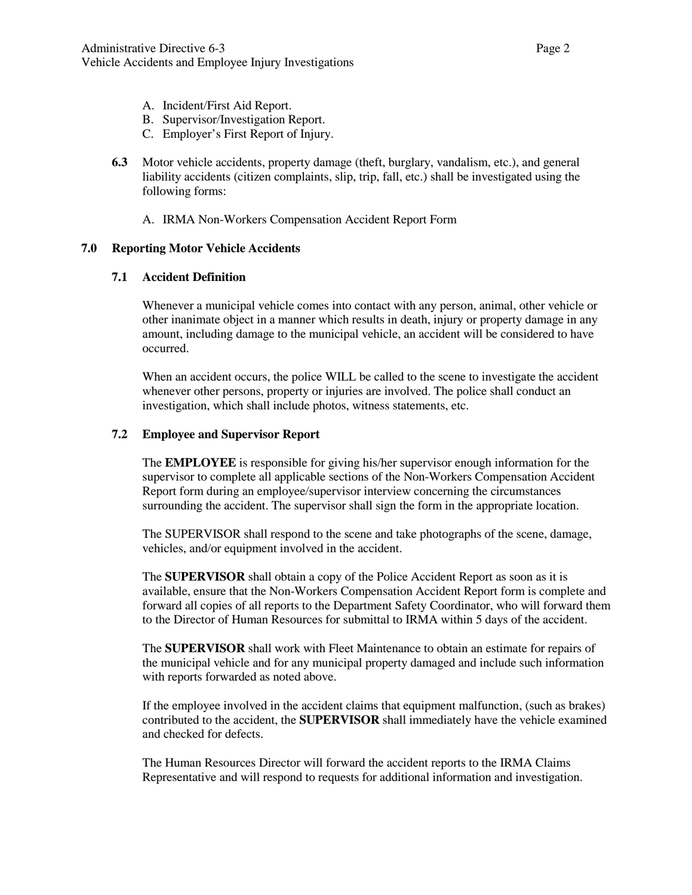- A. Incident/First Aid Report.
- B. Supervisor/Investigation Report.
- C. Employer's First Report of Injury.
- **6.3** Motor vehicle accidents, property damage (theft, burglary, vandalism, etc.), and general liability accidents (citizen complaints, slip, trip, fall, etc.) shall be investigated using the following forms:
	- A. IRMA Non-Workers Compensation Accident Report Form

## **7.0 Reporting Motor Vehicle Accidents**

### **7.1 Accident Definition**

Whenever a municipal vehicle comes into contact with any person, animal, other vehicle or other inanimate object in a manner which results in death, injury or property damage in any amount, including damage to the municipal vehicle, an accident will be considered to have occurred.

When an accident occurs, the police WILL be called to the scene to investigate the accident whenever other persons, property or injuries are involved. The police shall conduct an investigation, which shall include photos, witness statements, etc.

### **7.2 Employee and Supervisor Report**

The **EMPLOYEE** is responsible for giving his/her supervisor enough information for the supervisor to complete all applicable sections of the Non-Workers Compensation Accident Report form during an employee/supervisor interview concerning the circumstances surrounding the accident. The supervisor shall sign the form in the appropriate location.

The SUPERVISOR shall respond to the scene and take photographs of the scene, damage, vehicles, and/or equipment involved in the accident.

The **SUPERVISOR** shall obtain a copy of the Police Accident Report as soon as it is available, ensure that the Non-Workers Compensation Accident Report form is complete and forward all copies of all reports to the Department Safety Coordinator, who will forward them to the Director of Human Resources for submittal to IRMA within 5 days of the accident.

The **SUPERVISOR** shall work with Fleet Maintenance to obtain an estimate for repairs of the municipal vehicle and for any municipal property damaged and include such information with reports forwarded as noted above.

If the employee involved in the accident claims that equipment malfunction, (such as brakes) contributed to the accident, the **SUPERVISOR** shall immediately have the vehicle examined and checked for defects.

The Human Resources Director will forward the accident reports to the IRMA Claims Representative and will respond to requests for additional information and investigation.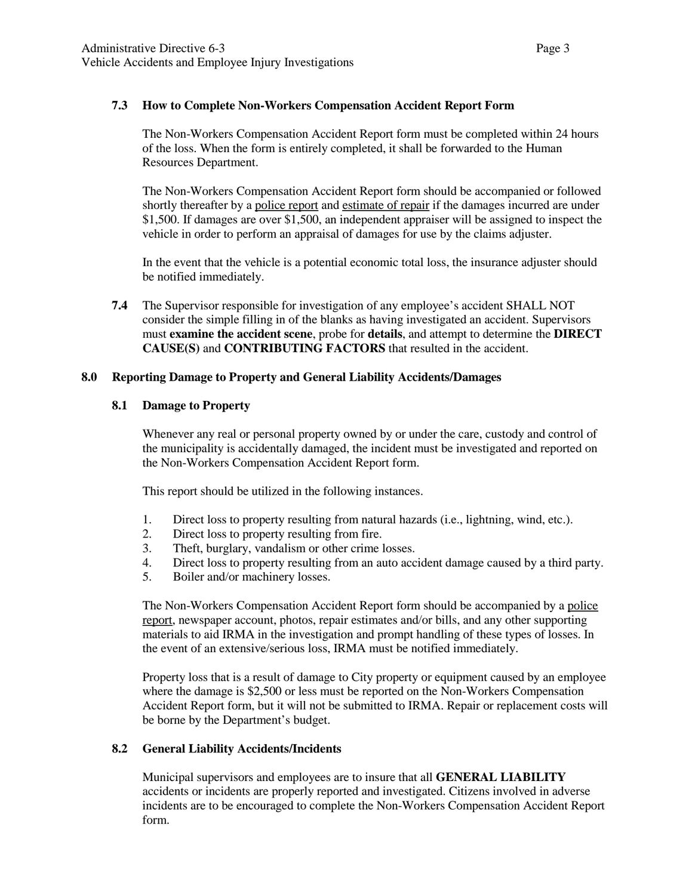## **7.3 How to Complete Non-Workers Compensation Accident Report Form**

The Non-Workers Compensation Accident Report form must be completed within 24 hours of the loss. When the form is entirely completed, it shall be forwarded to the Human Resources Department.

The Non-Workers Compensation Accident Report form should be accompanied or followed shortly thereafter by a police report and estimate of repair if the damages incurred are under \$1,500. If damages are over \$1,500, an independent appraiser will be assigned to inspect the vehicle in order to perform an appraisal of damages for use by the claims adjuster.

In the event that the vehicle is a potential economic total loss, the insurance adjuster should be notified immediately.

**7.4** The Supervisor responsible for investigation of any employee's accident SHALL NOT consider the simple filling in of the blanks as having investigated an accident. Supervisors must **examine the accident scene**, probe for **details**, and attempt to determine the **DIRECT CAUSE(S)** and **CONTRIBUTING FACTORS** that resulted in the accident.

### **8.0 Reporting Damage to Property and General Liability Accidents/Damages**

### **8.1 Damage to Property**

Whenever any real or personal property owned by or under the care, custody and control of the municipality is accidentally damaged, the incident must be investigated and reported on the Non-Workers Compensation Accident Report form.

This report should be utilized in the following instances.

- 1. Direct loss to property resulting from natural hazards (i.e., lightning, wind, etc.).
- 2. Direct loss to property resulting from fire.<br>3. Theft, burglary, vandalism or other crime
- Theft, burglary, vandalism or other crime losses.
- 4. Direct loss to property resulting from an auto accident damage caused by a third party.
- 5. Boiler and/or machinery losses.

The Non-Workers Compensation Accident Report form should be accompanied by a police report, newspaper account, photos, repair estimates and/or bills, and any other supporting materials to aid IRMA in the investigation and prompt handling of these types of losses. In the event of an extensive/serious loss, IRMA must be notified immediately.

Property loss that is a result of damage to City property or equipment caused by an employee where the damage is \$2,500 or less must be reported on the Non-Workers Compensation Accident Report form, but it will not be submitted to IRMA. Repair or replacement costs will be borne by the Department's budget.

# **8.2 General Liability Accidents/Incidents**

Municipal supervisors and employees are to insure that all **GENERAL LIABILITY** accidents or incidents are properly reported and investigated. Citizens involved in adverse incidents are to be encouraged to complete the Non-Workers Compensation Accident Report form.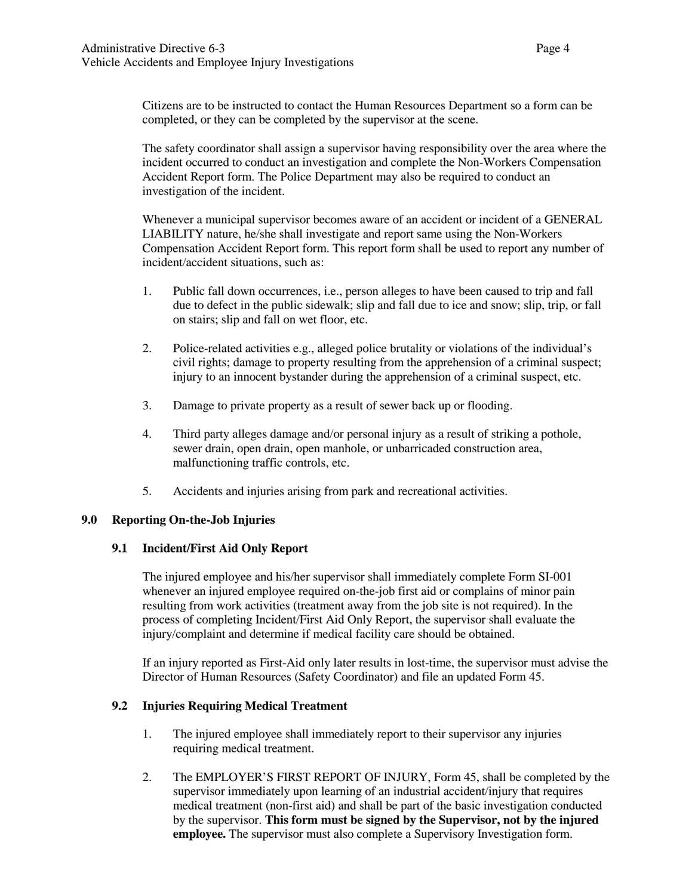Citizens are to be instructed to contact the Human Resources Department so a form can be completed, or they can be completed by the supervisor at the scene.

The safety coordinator shall assign a supervisor having responsibility over the area where the incident occurred to conduct an investigation and complete the Non-Workers Compensation Accident Report form. The Police Department may also be required to conduct an investigation of the incident.

Whenever a municipal supervisor becomes aware of an accident or incident of a GENERAL LIABILITY nature, he/she shall investigate and report same using the Non-Workers Compensation Accident Report form. This report form shall be used to report any number of incident/accident situations, such as:

- 1. Public fall down occurrences, i.e., person alleges to have been caused to trip and fall due to defect in the public sidewalk; slip and fall due to ice and snow; slip, trip, or fall on stairs; slip and fall on wet floor, etc.
- 2. Police-related activities e.g., alleged police brutality or violations of the individual's civil rights; damage to property resulting from the apprehension of a criminal suspect; injury to an innocent bystander during the apprehension of a criminal suspect, etc.
- 3. Damage to private property as a result of sewer back up or flooding.
- 4. Third party alleges damage and/or personal injury as a result of striking a pothole, sewer drain, open drain, open manhole, or unbarricaded construction area, malfunctioning traffic controls, etc.
- 5. Accidents and injuries arising from park and recreational activities.

# **9.0 Reporting On-the-Job Injuries**

### **9.1 Incident/First Aid Only Report**

The injured employee and his/her supervisor shall immediately complete Form SI-001 whenever an injured employee required on-the-job first aid or complains of minor pain resulting from work activities (treatment away from the job site is not required). In the process of completing Incident/First Aid Only Report, the supervisor shall evaluate the injury/complaint and determine if medical facility care should be obtained.

If an injury reported as First-Aid only later results in lost-time, the supervisor must advise the Director of Human Resources (Safety Coordinator) and file an updated Form 45.

# **9.2 Injuries Requiring Medical Treatment**

- 1. The injured employee shall immediately report to their supervisor any injuries requiring medical treatment.
- 2. The EMPLOYER'S FIRST REPORT OF INJURY, Form 45, shall be completed by the supervisor immediately upon learning of an industrial accident/injury that requires medical treatment (non-first aid) and shall be part of the basic investigation conducted by the supervisor. **This form must be signed by the Supervisor, not by the injured employee.** The supervisor must also complete a Supervisory Investigation form.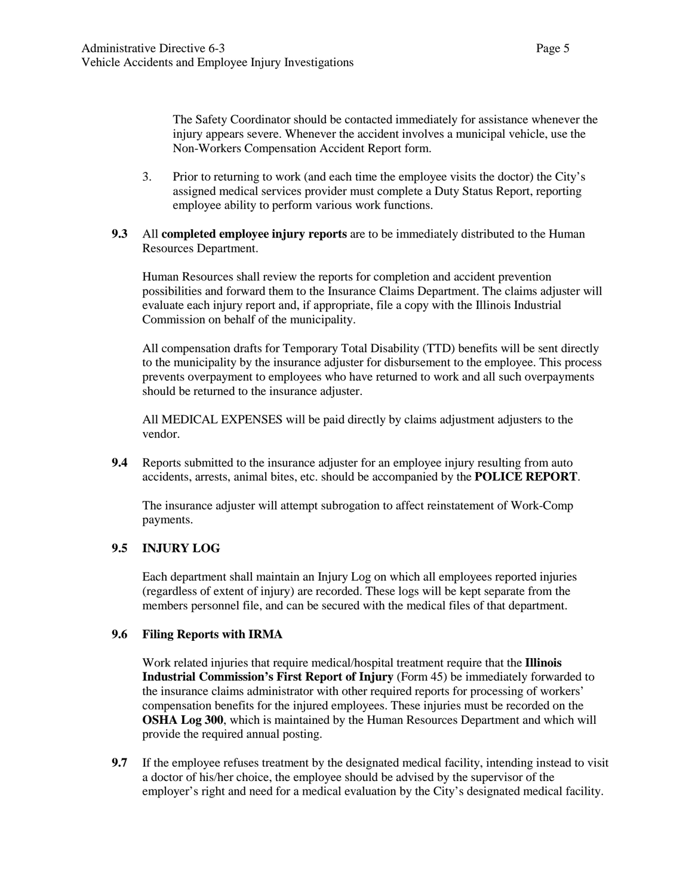The Safety Coordinator should be contacted immediately for assistance whenever the injury appears severe. Whenever the accident involves a municipal vehicle, use the Non-Workers Compensation Accident Report form.

3. Prior to returning to work (and each time the employee visits the doctor) the City's assigned medical services provider must complete a Duty Status Report, reporting employee ability to perform various work functions.

## **9.3** All **completed employee injury reports** are to be immediately distributed to the Human Resources Department.

Human Resources shall review the reports for completion and accident prevention possibilities and forward them to the Insurance Claims Department. The claims adjuster will evaluate each injury report and, if appropriate, file a copy with the Illinois Industrial Commission on behalf of the municipality.

All compensation drafts for Temporary Total Disability (TTD) benefits will be sent directly to the municipality by the insurance adjuster for disbursement to the employee. This process prevents overpayment to employees who have returned to work and all such overpayments should be returned to the insurance adjuster.

All MEDICAL EXPENSES will be paid directly by claims adjustment adjusters to the vendor.

**9.4** Reports submitted to the insurance adjuster for an employee injury resulting from auto accidents, arrests, animal bites, etc. should be accompanied by the **POLICE REPORT**.

The insurance adjuster will attempt subrogation to affect reinstatement of Work-Comp payments.

# **9.5 INJURY LOG**

Each department shall maintain an Injury Log on which all employees reported injuries (regardless of extent of injury) are recorded. These logs will be kept separate from the members personnel file, and can be secured with the medical files of that department.

### **9.6 Filing Reports with IRMA**

Work related injuries that require medical/hospital treatment require that the **Illinois Industrial Commission's First Report of Injury** (Form 45) be immediately forwarded to the insurance claims administrator with other required reports for processing of workers' compensation benefits for the injured employees. These injuries must be recorded on the **OSHA Log 300**, which is maintained by the Human Resources Department and which will provide the required annual posting.

**9.7** If the employee refuses treatment by the designated medical facility, intending instead to visit a doctor of his/her choice, the employee should be advised by the supervisor of the employer's right and need for a medical evaluation by the City's designated medical facility.